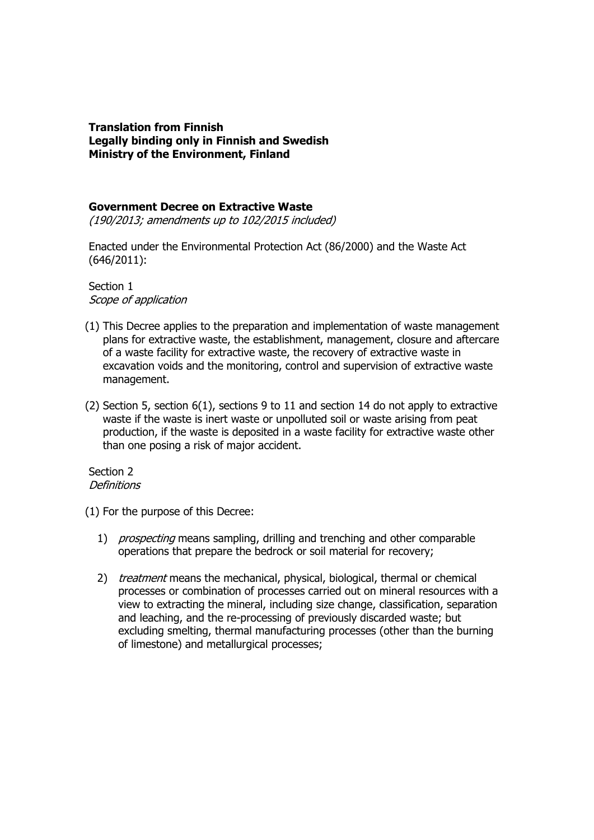### **Translation from Finnish Legally binding only in Finnish and Swedish Ministry of the Environment, Finland**

### **Government Decree on Extractive Waste**

(190/2013; amendments up to 102/2015 included)

Enacted under the Environmental Protection Act (86/2000) and the Waste Act (646/2011):

Section 1 Scope of application

- (1) This Decree applies to the preparation and implementation of waste management plans for extractive waste, the establishment, management, closure and aftercare of a waste facility for extractive waste, the recovery of extractive waste in excavation voids and the monitoring, control and supervision of extractive waste management.
- (2) Section 5, section 6(1), sections 9 to 11 and section 14 do not apply to extractive waste if the waste is inert waste or unpolluted soil or waste arising from peat production, if the waste is deposited in a waste facility for extractive waste other than one posing a risk of major accident.

Section 2 **Definitions** 

(1) For the purpose of this Decree:

- 1) *prospecting* means sampling, drilling and trenching and other comparable operations that prepare the bedrock or soil material for recovery;
- 2) *treatment* means the mechanical, physical, biological, thermal or chemical processes or combination of processes carried out on mineral resources with a view to extracting the mineral, including size change, classification, separation and leaching, and the re-processing of previously discarded waste; but excluding smelting, thermal manufacturing processes (other than the burning of limestone) and metallurgical processes;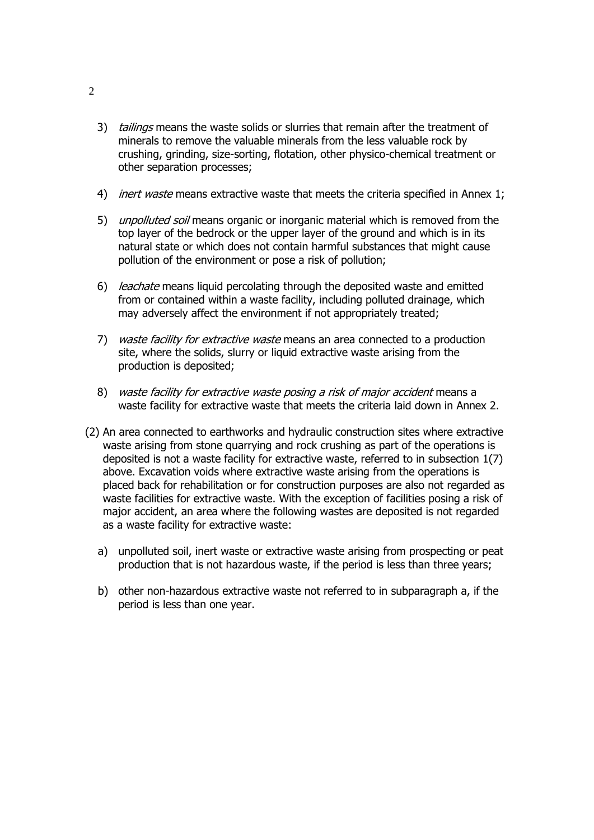- 3) tailings means the waste solids or slurries that remain after the treatment of minerals to remove the valuable minerals from the less valuable rock by crushing, grinding, size-sorting, flotation, other physico-chemical treatment or other separation processes;
- 4) *inert waste* means extractive waste that meets the criteria specified in Annex 1;
- 5) unpolluted soil means organic or inorganic material which is removed from the top layer of the bedrock or the upper layer of the ground and which is in its natural state or which does not contain harmful substances that might cause pollution of the environment or pose a risk of pollution;
- 6) leachate means liquid percolating through the deposited waste and emitted from or contained within a waste facility, including polluted drainage, which may adversely affect the environment if not appropriately treated;
- 7) waste facility for extractive waste means an area connected to a production site, where the solids, slurry or liquid extractive waste arising from the production is deposited;
- 8) waste facility for extractive waste posing a risk of major accident means a waste facility for extractive waste that meets the criteria laid down in Annex 2.
- (2) An area connected to earthworks and hydraulic construction sites where extractive waste arising from stone quarrying and rock crushing as part of the operations is deposited is not a waste facility for extractive waste, referred to in subsection 1(7) above. Excavation voids where extractive waste arising from the operations is placed back for rehabilitation or for construction purposes are also not regarded as waste facilities for extractive waste. With the exception of facilities posing a risk of major accident, an area where the following wastes are deposited is not regarded as a waste facility for extractive waste:
	- a) unpolluted soil, inert waste or extractive waste arising from prospecting or peat production that is not hazardous waste, if the period is less than three years;
	- b) other non-hazardous extractive waste not referred to in subparagraph a, if the period is less than one year.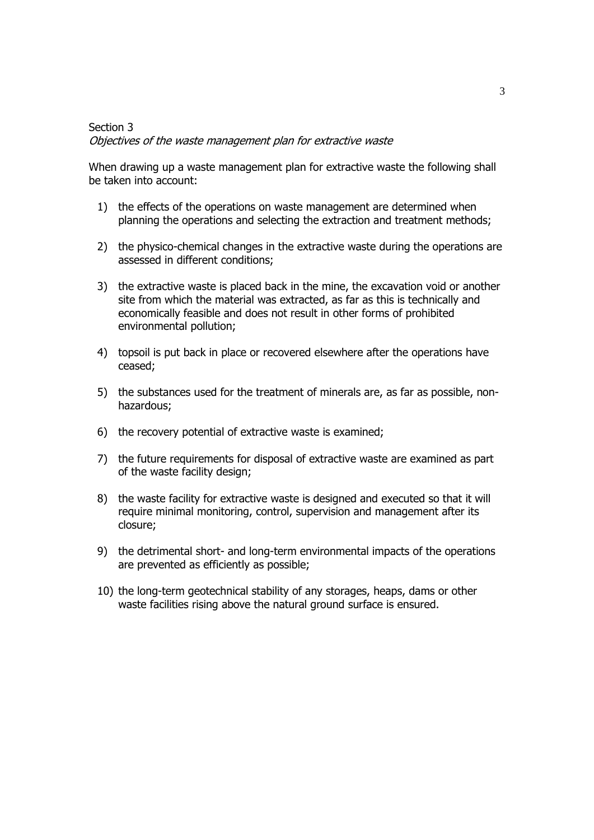# Section 3 Objectives of the waste management plan for extractive waste

When drawing up a waste management plan for extractive waste the following shall be taken into account:

- 1) the effects of the operations on waste management are determined when planning the operations and selecting the extraction and treatment methods;
- 2) the physico-chemical changes in the extractive waste during the operations are assessed in different conditions;
- 3) the extractive waste is placed back in the mine, the excavation void or another site from which the material was extracted, as far as this is technically and economically feasible and does not result in other forms of prohibited environmental pollution;
- 4) topsoil is put back in place or recovered elsewhere after the operations have ceased;
- 5) the substances used for the treatment of minerals are, as far as possible, nonhazardous;
- 6) the recovery potential of extractive waste is examined;
- 7) the future requirements for disposal of extractive waste are examined as part of the waste facility design;
- 8) the waste facility for extractive waste is designed and executed so that it will require minimal monitoring, control, supervision and management after its closure;
- 9) the detrimental short- and long-term environmental impacts of the operations are prevented as efficiently as possible;
- 10) the long-term geotechnical stability of any storages, heaps, dams or other waste facilities rising above the natural ground surface is ensured.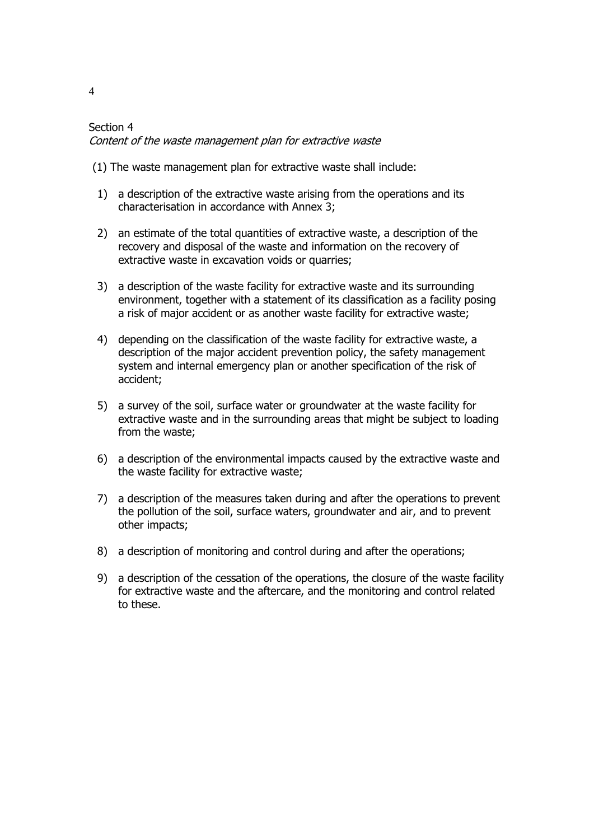# Section 4 Content of the waste management plan for extractive waste

- (1) The waste management plan for extractive waste shall include:
- 1) a description of the extractive waste arising from the operations and its characterisation in accordance with Annex 3;
- 2) an estimate of the total quantities of extractive waste, a description of the recovery and disposal of the waste and information on the recovery of extractive waste in excavation voids or quarries;
- 3) a description of the waste facility for extractive waste and its surrounding environment, together with a statement of its classification as a facility posing a risk of major accident or as another waste facility for extractive waste;
- 4) depending on the classification of the waste facility for extractive waste, a description of the major accident prevention policy, the safety management system and internal emergency plan or another specification of the risk of accident;
- 5) a survey of the soil, surface water or groundwater at the waste facility for extractive waste and in the surrounding areas that might be subject to loading from the waste;
- 6) a description of the environmental impacts caused by the extractive waste and the waste facility for extractive waste;
- 7) a description of the measures taken during and after the operations to prevent the pollution of the soil, surface waters, groundwater and air, and to prevent other impacts;
- 8) a description of monitoring and control during and after the operations;
- 9) a description of the cessation of the operations, the closure of the waste facility for extractive waste and the aftercare, and the monitoring and control related to these.

4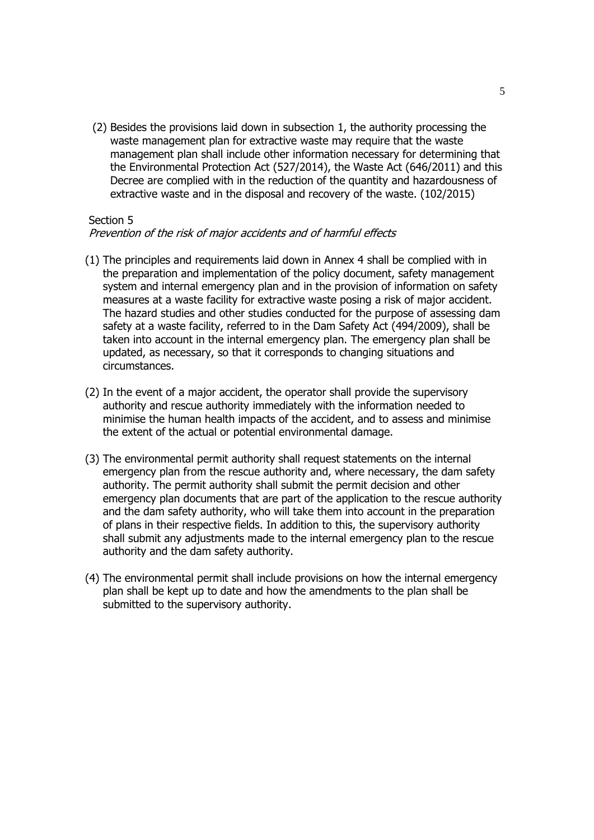(2) Besides the provisions laid down in subsection 1, the authority processing the waste management plan for extractive waste may require that the waste management plan shall include other information necessary for determining that the Environmental Protection Act (527/2014), the Waste Act (646/2011) and this Decree are complied with in the reduction of the quantity and hazardousness of extractive waste and in the disposal and recovery of the waste. (102/2015)

#### Section 5

### Prevention of the risk of major accidents and of harmful effects

- (1) The principles and requirements laid down in Annex 4 shall be complied with in the preparation and implementation of the policy document, safety management system and internal emergency plan and in the provision of information on safety measures at a waste facility for extractive waste posing a risk of major accident. The hazard studies and other studies conducted for the purpose of assessing dam safety at a waste facility, referred to in the Dam Safety Act (494/2009), shall be taken into account in the internal emergency plan. The emergency plan shall be updated, as necessary, so that it corresponds to changing situations and circumstances.
- (2) In the event of a major accident, the operator shall provide the supervisory authority and rescue authority immediately with the information needed to minimise the human health impacts of the accident, and to assess and minimise the extent of the actual or potential environmental damage.
- (3) The environmental permit authority shall request statements on the internal emergency plan from the rescue authority and, where necessary, the dam safety authority. The permit authority shall submit the permit decision and other emergency plan documents that are part of the application to the rescue authority and the dam safety authority, who will take them into account in the preparation of plans in their respective fields. In addition to this, the supervisory authority shall submit any adjustments made to the internal emergency plan to the rescue authority and the dam safety authority.
- (4) The environmental permit shall include provisions on how the internal emergency plan shall be kept up to date and how the amendments to the plan shall be submitted to the supervisory authority.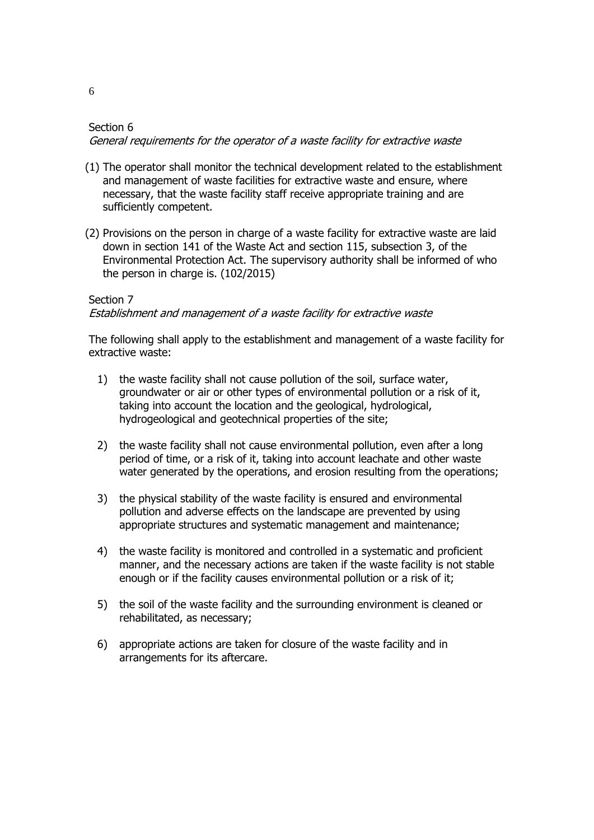# Section 6 General requirements for the operator of a waste facility for extractive waste

- (1) The operator shall monitor the technical development related to the establishment and management of waste facilities for extractive waste and ensure, where necessary, that the waste facility staff receive appropriate training and are sufficiently competent.
- (2) Provisions on the person in charge of a waste facility for extractive waste are laid down in section 141 of the Waste Act and section 115, subsection 3, of the Environmental Protection Act. The supervisory authority shall be informed of who the person in charge is. (102/2015)

# Section 7 Establishment and management of a waste facility for extractive waste

The following shall apply to the establishment and management of a waste facility for extractive waste:

- 1) the waste facility shall not cause pollution of the soil, surface water, groundwater or air or other types of environmental pollution or a risk of it, taking into account the location and the geological, hydrological, hydrogeological and geotechnical properties of the site;
- 2) the waste facility shall not cause environmental pollution, even after a long period of time, or a risk of it, taking into account leachate and other waste water generated by the operations, and erosion resulting from the operations;
- 3) the physical stability of the waste facility is ensured and environmental pollution and adverse effects on the landscape are prevented by using appropriate structures and systematic management and maintenance;
- 4) the waste facility is monitored and controlled in a systematic and proficient manner, and the necessary actions are taken if the waste facility is not stable enough or if the facility causes environmental pollution or a risk of it;
- 5) the soil of the waste facility and the surrounding environment is cleaned or rehabilitated, as necessary;
- 6) appropriate actions are taken for closure of the waste facility and in arrangements for its aftercare.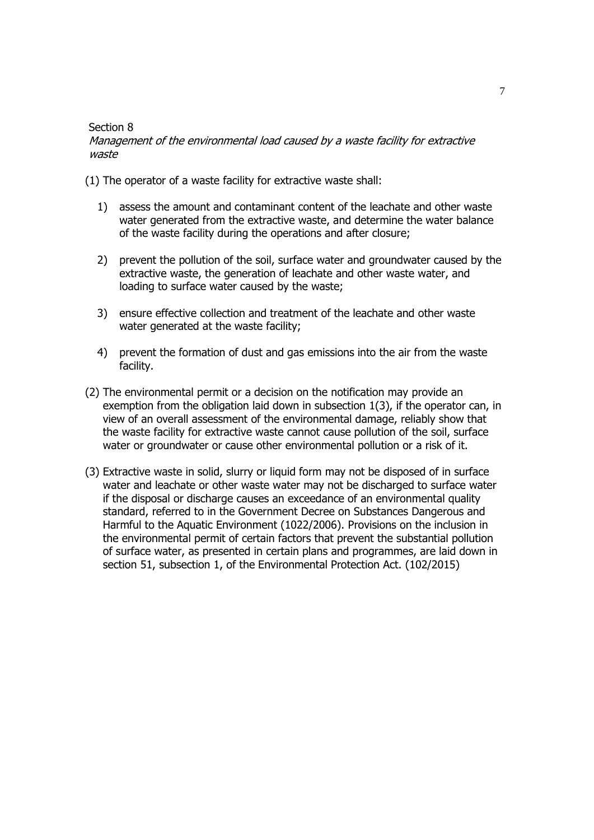#### Section 8

### Management of the environmental load caused by a waste facility for extractive waste

(1) The operator of a waste facility for extractive waste shall:

- 1) assess the amount and contaminant content of the leachate and other waste water generated from the extractive waste, and determine the water balance of the waste facility during the operations and after closure;
- 2) prevent the pollution of the soil, surface water and groundwater caused by the extractive waste, the generation of leachate and other waste water, and loading to surface water caused by the waste;
- 3) ensure effective collection and treatment of the leachate and other waste water generated at the waste facility;
- 4) prevent the formation of dust and gas emissions into the air from the waste facility.
- (2) The environmental permit or a decision on the notification may provide an exemption from the obligation laid down in subsection 1(3), if the operator can, in view of an overall assessment of the environmental damage, reliably show that the waste facility for extractive waste cannot cause pollution of the soil, surface water or groundwater or cause other environmental pollution or a risk of it.
- (3) Extractive waste in solid, slurry or liquid form may not be disposed of in surface water and leachate or other waste water may not be discharged to surface water if the disposal or discharge causes an exceedance of an environmental quality standard, referred to in the Government Decree on Substances Dangerous and Harmful to the Aquatic Environment (1022/2006). Provisions on the inclusion in the environmental permit of certain factors that prevent the substantial pollution of surface water, as presented in certain plans and programmes, are laid down in section 51, subsection 1, of the Environmental Protection Act. (102/2015)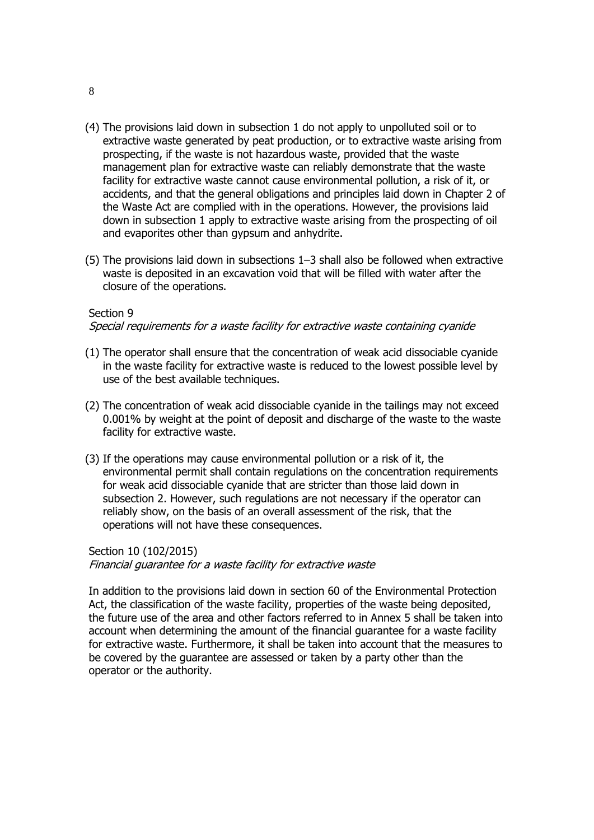- (4) The provisions laid down in subsection 1 do not apply to unpolluted soil or to extractive waste generated by peat production, or to extractive waste arising from prospecting, if the waste is not hazardous waste, provided that the waste management plan for extractive waste can reliably demonstrate that the waste facility for extractive waste cannot cause environmental pollution, a risk of it, or accidents, and that the general obligations and principles laid down in Chapter 2 of the Waste Act are complied with in the operations. However, the provisions laid down in subsection 1 apply to extractive waste arising from the prospecting of oil and evaporites other than gypsum and anhydrite.
- (5) The provisions laid down in subsections 1–3 shall also be followed when extractive waste is deposited in an excavation void that will be filled with water after the closure of the operations.

#### Section 9

#### Special requirements for a waste facility for extractive waste containing cyanide

- (1) The operator shall ensure that the concentration of weak acid dissociable cyanide in the waste facility for extractive waste is reduced to the lowest possible level by use of the best available techniques.
- (2) The concentration of weak acid dissociable cyanide in the tailings may not exceed 0.001% by weight at the point of deposit and discharge of the waste to the waste facility for extractive waste.
- (3) If the operations may cause environmental pollution or a risk of it, the environmental permit shall contain regulations on the concentration requirements for weak acid dissociable cyanide that are stricter than those laid down in subsection 2. However, such regulations are not necessary if the operator can reliably show, on the basis of an overall assessment of the risk, that the operations will not have these consequences.

Section 10 (102/2015)

Financial guarantee for a waste facility for extractive waste

In addition to the provisions laid down in section 60 of the Environmental Protection Act, the classification of the waste facility, properties of the waste being deposited, the future use of the area and other factors referred to in Annex 5 shall be taken into account when determining the amount of the financial guarantee for a waste facility for extractive waste. Furthermore, it shall be taken into account that the measures to be covered by the guarantee are assessed or taken by a party other than the operator or the authority.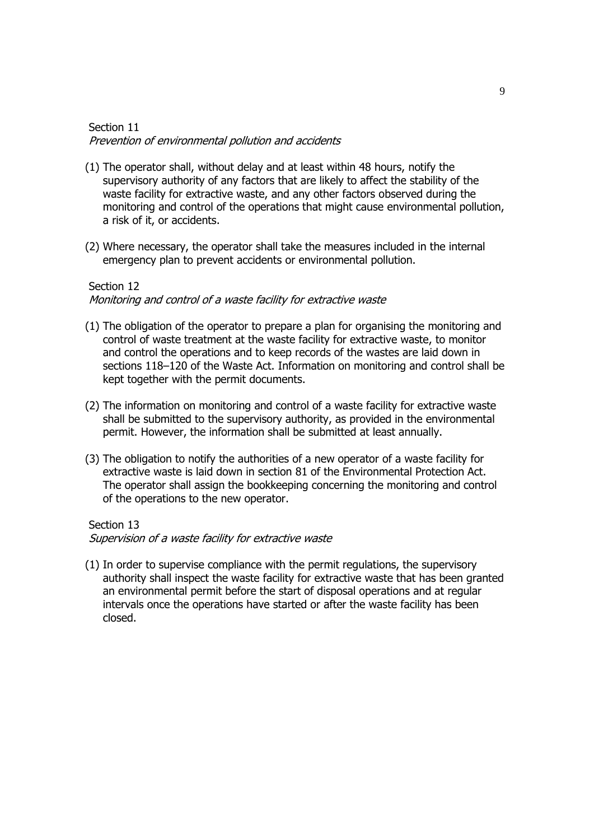### Section 11 Prevention of environmental pollution and accidents

- (1) The operator shall, without delay and at least within 48 hours, notify the supervisory authority of any factors that are likely to affect the stability of the waste facility for extractive waste, and any other factors observed during the monitoring and control of the operations that might cause environmental pollution, a risk of it, or accidents.
- (2) Where necessary, the operator shall take the measures included in the internal emergency plan to prevent accidents or environmental pollution.

### Section 12

Monitoring and control of a waste facility for extractive waste

- (1) The obligation of the operator to prepare a plan for organising the monitoring and control of waste treatment at the waste facility for extractive waste, to monitor and control the operations and to keep records of the wastes are laid down in sections 118–120 of the Waste Act. Information on monitoring and control shall be kept together with the permit documents.
- (2) The information on monitoring and control of a waste facility for extractive waste shall be submitted to the supervisory authority, as provided in the environmental permit. However, the information shall be submitted at least annually.
- (3) The obligation to notify the authorities of a new operator of a waste facility for extractive waste is laid down in section 81 of the Environmental Protection Act. The operator shall assign the bookkeeping concerning the monitoring and control of the operations to the new operator.

#### Section 13

Supervision of a waste facility for extractive waste

(1) In order to supervise compliance with the permit regulations, the supervisory authority shall inspect the waste facility for extractive waste that has been granted an environmental permit before the start of disposal operations and at regular intervals once the operations have started or after the waste facility has been closed.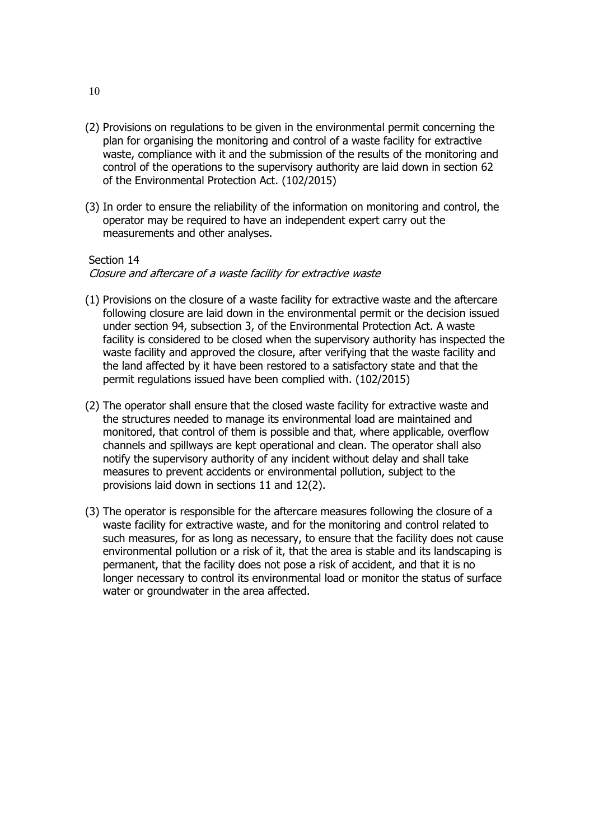- (2) Provisions on regulations to be given in the environmental permit concerning the plan for organising the monitoring and control of a waste facility for extractive waste, compliance with it and the submission of the results of the monitoring and control of the operations to the supervisory authority are laid down in section 62 of the Environmental Protection Act. (102/2015)
- (3) In order to ensure the reliability of the information on monitoring and control, the operator may be required to have an independent expert carry out the measurements and other analyses.

#### Section 14

Closure and aftercare of a waste facility for extractive waste

- (1) Provisions on the closure of a waste facility for extractive waste and the aftercare following closure are laid down in the environmental permit or the decision issued under section 94, subsection 3, of the Environmental Protection Act. A waste facility is considered to be closed when the supervisory authority has inspected the waste facility and approved the closure, after verifying that the waste facility and the land affected by it have been restored to a satisfactory state and that the permit regulations issued have been complied with. (102/2015)
- (2) The operator shall ensure that the closed waste facility for extractive waste and the structures needed to manage its environmental load are maintained and monitored, that control of them is possible and that, where applicable, overflow channels and spillways are kept operational and clean. The operator shall also notify the supervisory authority of any incident without delay and shall take measures to prevent accidents or environmental pollution, subject to the provisions laid down in sections 11 and 12(2).
- (3) The operator is responsible for the aftercare measures following the closure of a waste facility for extractive waste, and for the monitoring and control related to such measures, for as long as necessary, to ensure that the facility does not cause environmental pollution or a risk of it, that the area is stable and its landscaping is permanent, that the facility does not pose a risk of accident, and that it is no longer necessary to control its environmental load or monitor the status of surface water or groundwater in the area affected.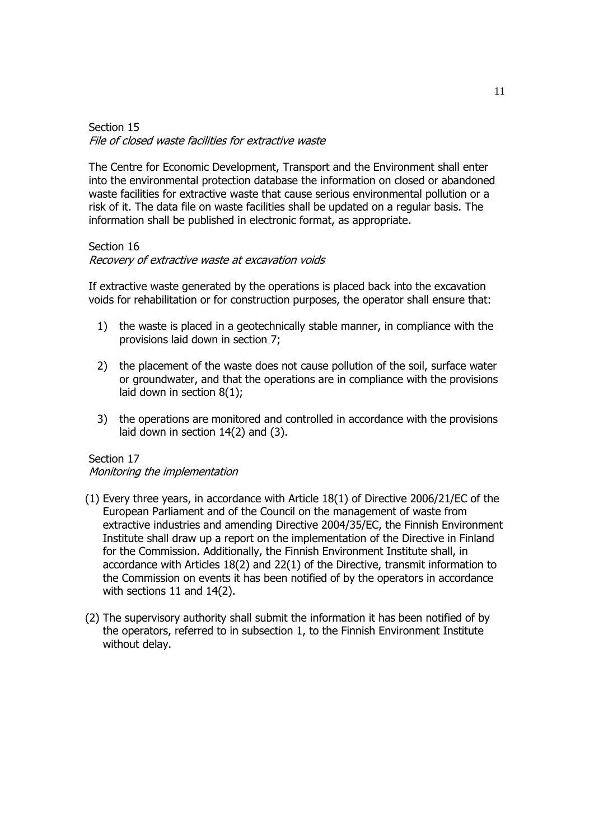## Section 15 File of closed waste facilities for extractive waste

The Centre for Economic Development, Transport and the Environment shall enter into the environmental protection database the information on closed or abandoned waste facilities for extractive waste that cause serious environmental pollution or a risk of it. The data file on waste facilities shall be updated on a regular basis. The information shall be published in electronic format, as appropriate.

#### Section 16

#### Recovery of extractive waste at excavation voids

If extractive waste generated by the operations is placed back into the excavation voids for rehabilitation or for construction purposes, the operator shall ensure that:

- 1) the waste is placed in a geotechnically stable manner, in compliance with the provisions laid down in section 7;
- 2) the placement of the waste does not cause pollution of the soil, surface water or groundwater, and that the operations are in compliance with the provisions laid down in section 8(1);
- 3) the operations are monitored and controlled in accordance with the provisions laid down in section 14(2) and (3).

### Section 17

### Monitoring the implementation

- (1) Every three years, in accordance with Article 18(1) of Directive 2006/21/EC of the European Parliament and of the Council on the management of waste from extractive industries and amending Directive 2004/35/EC, the Finnish Environment Institute shall draw up a report on the implementation of the Directive in Finland for the Commission. Additionally, the Finnish Environment Institute shall, in accordance with Articles 18(2) and 22(1) of the Directive, transmit information to the Commission on events it has been notified of by the operators in accordance with sections 11 and 14(2).
- (2) The supervisory authority shall submit the information it has been notified of by the operators, referred to in subsection 1, to the Finnish Environment Institute without delay.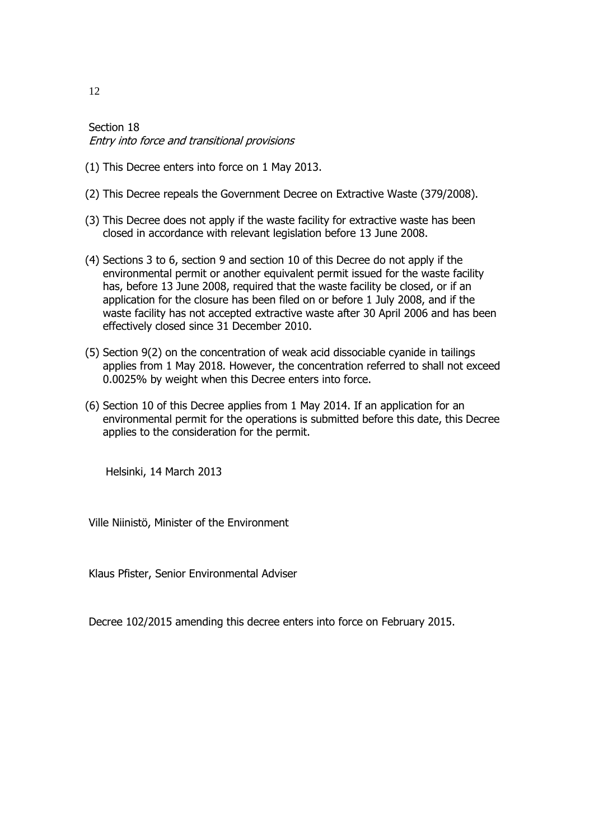Section 18 Entry into force and transitional provisions

- (1) This Decree enters into force on 1 May 2013.
- (2) This Decree repeals the Government Decree on Extractive Waste (379/2008).
- (3) This Decree does not apply if the waste facility for extractive waste has been closed in accordance with relevant legislation before 13 June 2008.
- (4) Sections 3 to 6, section 9 and section 10 of this Decree do not apply if the environmental permit or another equivalent permit issued for the waste facility has, before 13 June 2008, required that the waste facility be closed, or if an application for the closure has been filed on or before 1 July 2008, and if the waste facility has not accepted extractive waste after 30 April 2006 and has been effectively closed since 31 December 2010.
- (5) Section 9(2) on the concentration of weak acid dissociable cyanide in tailings applies from 1 May 2018. However, the concentration referred to shall not exceed 0.0025% by weight when this Decree enters into force.
- (6) Section 10 of this Decree applies from 1 May 2014. If an application for an environmental permit for the operations is submitted before this date, this Decree applies to the consideration for the permit.

Helsinki, 14 March 2013

Ville Niinistö, Minister of the Environment

Klaus Pfister, Senior Environmental Adviser

Decree 102/2015 amending this decree enters into force on February 2015.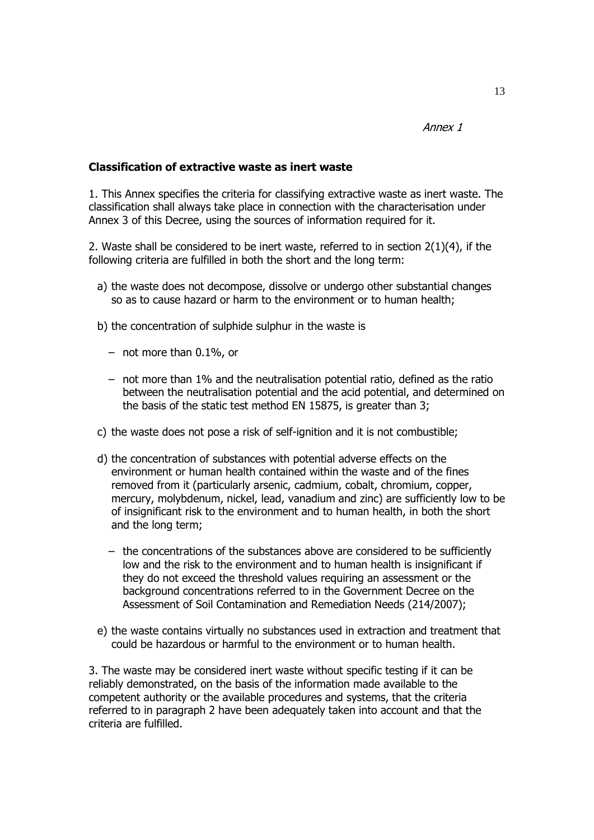Annex 1

# **Classification of extractive waste as inert waste**

1. This Annex specifies the criteria for classifying extractive waste as inert waste. The classification shall always take place in connection with the characterisation under Annex 3 of this Decree, using the sources of information required for it.

2. Waste shall be considered to be inert waste, referred to in section 2(1)(4), if the following criteria are fulfilled in both the short and the long term:

- a) the waste does not decompose, dissolve or undergo other substantial changes so as to cause hazard or harm to the environment or to human health;
- b) the concentration of sulphide sulphur in the waste is
	- not more than 0.1%, or
	- not more than 1% and the neutralisation potential ratio, defined as the ratio between the neutralisation potential and the acid potential, and determined on the basis of the static test method EN 15875, is greater than 3;
- c) the waste does not pose a risk of self-ignition and it is not combustible;
- d) the concentration of substances with potential adverse effects on the environment or human health contained within the waste and of the fines removed from it (particularly arsenic, cadmium, cobalt, chromium, copper, mercury, molybdenum, nickel, lead, vanadium and zinc) are sufficiently low to be of insignificant risk to the environment and to human health, in both the short and the long term;
	- the concentrations of the substances above are considered to be sufficiently low and the risk to the environment and to human health is insignificant if they do not exceed the threshold values requiring an assessment or the background concentrations referred to in the Government Decree on the Assessment of Soil Contamination and Remediation Needs (214/2007);
- e) the waste contains virtually no substances used in extraction and treatment that could be hazardous or harmful to the environment or to human health.

3. The waste may be considered inert waste without specific testing if it can be reliably demonstrated, on the basis of the information made available to the competent authority or the available procedures and systems, that the criteria referred to in paragraph 2 have been adequately taken into account and that the criteria are fulfilled.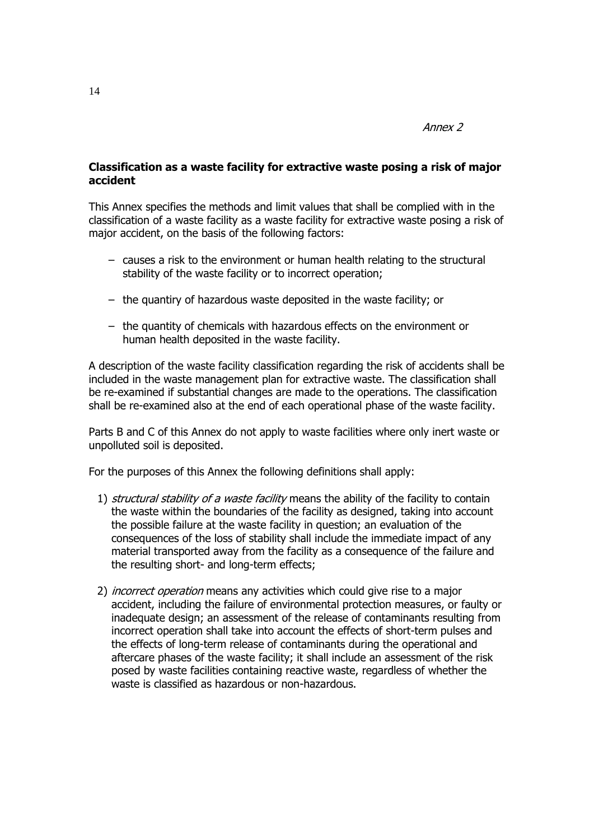Annex 2

# **Classification as a waste facility for extractive waste posing a risk of major accident**

This Annex specifies the methods and limit values that shall be complied with in the classification of a waste facility as a waste facility for extractive waste posing a risk of major accident, on the basis of the following factors:

- causes a risk to the environment or human health relating to the structural stability of the waste facility or to incorrect operation;
- the quantiry of hazardous waste deposited in the waste facility; or
- the quantity of chemicals with hazardous effects on the environment or human health deposited in the waste facility.

A description of the waste facility classification regarding the risk of accidents shall be included in the waste management plan for extractive waste. The classification shall be re-examined if substantial changes are made to the operations. The classification shall be re-examined also at the end of each operational phase of the waste facility.

Parts B and C of this Annex do not apply to waste facilities where only inert waste or unpolluted soil is deposited.

For the purposes of this Annex the following definitions shall apply:

- 1) structural stability of a waste facility means the ability of the facility to contain the waste within the boundaries of the facility as designed, taking into account the possible failure at the waste facility in question; an evaluation of the consequences of the loss of stability shall include the immediate impact of any material transported away from the facility as a consequence of the failure and the resulting short- and long-term effects;
- 2) *incorrect operation* means any activities which could give rise to a major accident, including the failure of environmental protection measures, or faulty or inadequate design; an assessment of the release of contaminants resulting from incorrect operation shall take into account the effects of short-term pulses and the effects of long-term release of contaminants during the operational and aftercare phases of the waste facility; it shall include an assessment of the risk posed by waste facilities containing reactive waste, regardless of whether the waste is classified as hazardous or non-hazardous.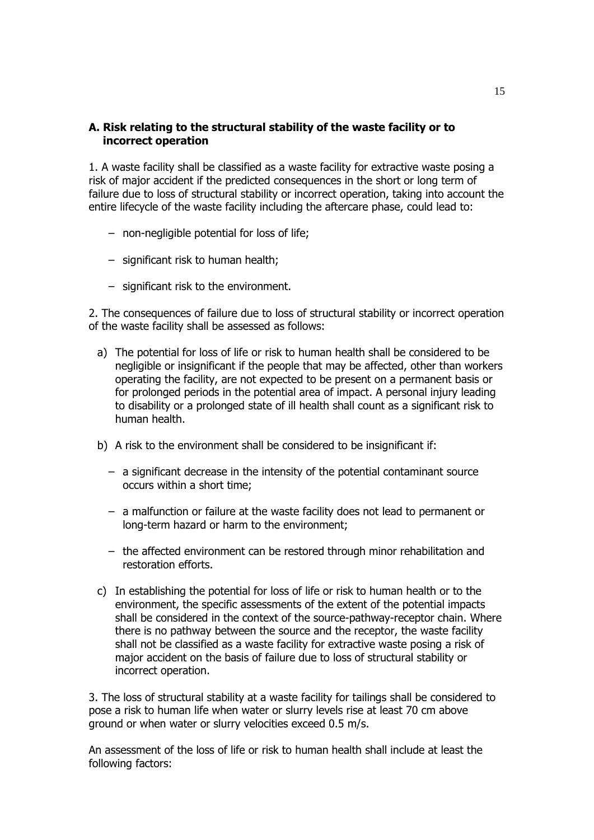# **A. Risk relating to the structural stability of the waste facility or to incorrect operation**

1. A waste facility shall be classified as a waste facility for extractive waste posing a risk of major accident if the predicted consequences in the short or long term of failure due to loss of structural stability or incorrect operation, taking into account the entire lifecycle of the waste facility including the aftercare phase, could lead to:

- non-negligible potential for loss of life;
- significant risk to human health;
- significant risk to the environment.

2. The consequences of failure due to loss of structural stability or incorrect operation of the waste facility shall be assessed as follows:

- a) The potential for loss of life or risk to human health shall be considered to be negligible or insignificant if the people that may be affected, other than workers operating the facility, are not expected to be present on a permanent basis or for prolonged periods in the potential area of impact. A personal injury leading to disability or a prolonged state of ill health shall count as a significant risk to human health.
- b) A risk to the environment shall be considered to be insignificant if:
	- a significant decrease in the intensity of the potential contaminant source occurs within a short time;
	- a malfunction or failure at the waste facility does not lead to permanent or long-term hazard or harm to the environment;
	- the affected environment can be restored through minor rehabilitation and restoration efforts.
- c) In establishing the potential for loss of life or risk to human health or to the environment, the specific assessments of the extent of the potential impacts shall be considered in the context of the source-pathway-receptor chain. Where there is no pathway between the source and the receptor, the waste facility shall not be classified as a waste facility for extractive waste posing a risk of major accident on the basis of failure due to loss of structural stability or incorrect operation.

3. The loss of structural stability at a waste facility for tailings shall be considered to pose a risk to human life when water or slurry levels rise at least 70 cm above ground or when water or slurry velocities exceed 0.5 m/s.

An assessment of the loss of life or risk to human health shall include at least the following factors: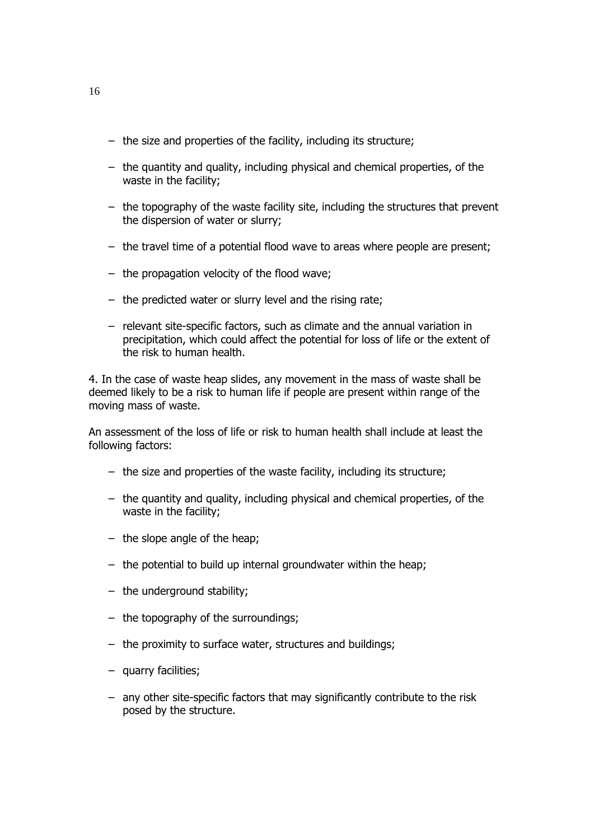- the size and properties of the facility, including its structure;
- the quantity and quality, including physical and chemical properties, of the waste in the facility;
- the topography of the waste facility site, including the structures that prevent the dispersion of water or slurry;
- the travel time of a potential flood wave to areas where people are present;
- the propagation velocity of the flood wave;
- the predicted water or slurry level and the rising rate;
- relevant site-specific factors, such as climate and the annual variation in precipitation, which could affect the potential for loss of life or the extent of the risk to human health.

4. In the case of waste heap slides, any movement in the mass of waste shall be deemed likely to be a risk to human life if people are present within range of the moving mass of waste.

An assessment of the loss of life or risk to human health shall include at least the following factors:

- the size and properties of the waste facility, including its structure;
- the quantity and quality, including physical and chemical properties, of the waste in the facility;
- the slope angle of the heap;
- the potential to build up internal groundwater within the heap;
- the underground stability;
- the topography of the surroundings;
- the proximity to surface water, structures and buildings;
- quarry facilities;
- any other site-specific factors that may significantly contribute to the risk posed by the structure.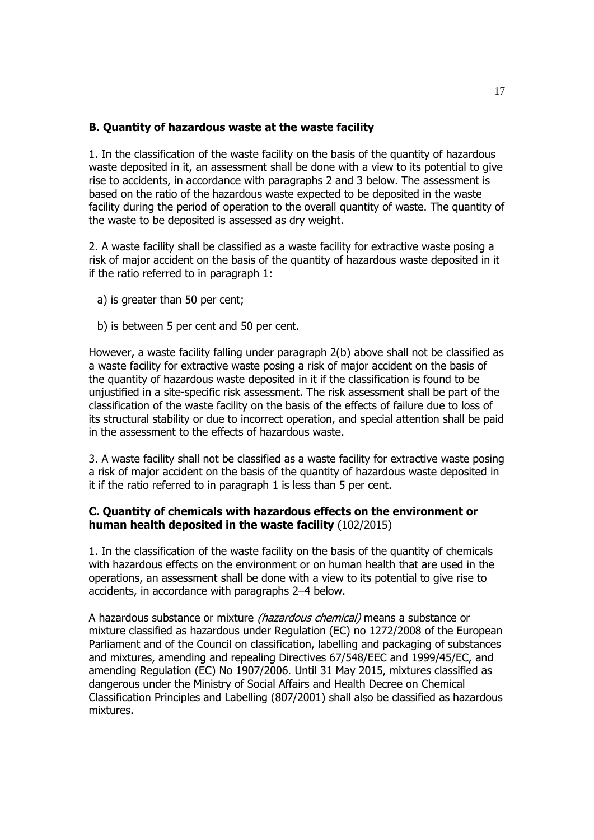# **B. Quantity of hazardous waste at the waste facility**

1. In the classification of the waste facility on the basis of the quantity of hazardous waste deposited in it, an assessment shall be done with a view to its potential to give rise to accidents, in accordance with paragraphs 2 and 3 below. The assessment is based on the ratio of the hazardous waste expected to be deposited in the waste facility during the period of operation to the overall quantity of waste. The quantity of the waste to be deposited is assessed as dry weight.

2. A waste facility shall be classified as a waste facility for extractive waste posing a risk of major accident on the basis of the quantity of hazardous waste deposited in it if the ratio referred to in paragraph 1:

- a) is greater than 50 per cent;
- b) is between 5 per cent and 50 per cent.

However, a waste facility falling under paragraph 2(b) above shall not be classified as a waste facility for extractive waste posing a risk of major accident on the basis of the quantity of hazardous waste deposited in it if the classification is found to be unjustified in a site-specific risk assessment. The risk assessment shall be part of the classification of the waste facility on the basis of the effects of failure due to loss of its structural stability or due to incorrect operation, and special attention shall be paid in the assessment to the effects of hazardous waste.

3. A waste facility shall not be classified as a waste facility for extractive waste posing a risk of major accident on the basis of the quantity of hazardous waste deposited in it if the ratio referred to in paragraph 1 is less than 5 per cent.

# **C. Quantity of chemicals with hazardous effects on the environment or human health deposited in the waste facility** (102/2015)

1. In the classification of the waste facility on the basis of the quantity of chemicals with hazardous effects on the environment or on human health that are used in the operations, an assessment shall be done with a view to its potential to give rise to accidents, in accordance with paragraphs 2–4 below.

A hazardous substance or mixture *(hazardous chemical)* means a substance or mixture classified as hazardous under Regulation (EC) no 1272/2008 of the European Parliament and of the Council on classification, labelling and packaging of substances and mixtures, amending and repealing Directives 67/548/EEC and 1999/45/EC, and amending Regulation (EC) No 1907/2006. Until 31 May 2015, mixtures classified as dangerous under the Ministry of Social Affairs and Health Decree on Chemical Classification Principles and Labelling (807/2001) shall also be classified as hazardous mixtures.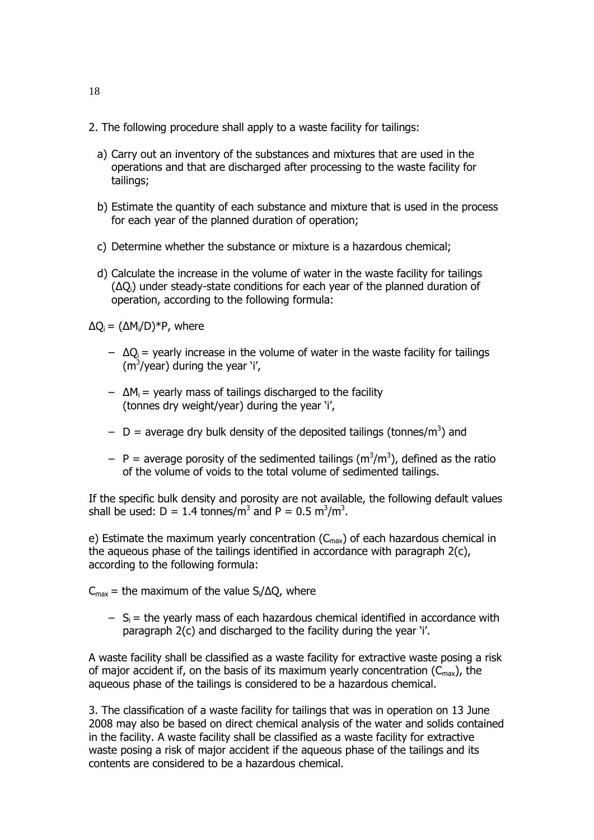- 2. The following procedure shall apply to a waste facility for tailings:
	- a) Carry out an inventory of the substances and mixtures that are used in the operations and that are discharged after processing to the waste facility for tailings;
	- b) Estimate the quantity of each substance and mixture that is used in the process for each year of the planned duration of operation;
	- c) Determine whether the substance or mixture is a hazardous chemical;
	- d) Calculate the increase in the volume of water in the waste facility for tailings (ΔQi) under steady-state conditions for each year of the planned duration of operation, according to the following formula:

 $\Delta Q_i = (\Delta M_i/D)^*P$ , where

- $-\Delta Q_i$  = yearly increase in the volume of water in the waste facility for tailings  $(m<sup>3</sup>/year)$  during the year `i',
- $-$  ΔM<sub>i</sub> = yearly mass of tailings discharged to the facility (tonnes dry weight/year) during the year 'i',
- $-$  D = average dry bulk density of the deposited tailings (tonnes/m<sup>3</sup>) and
- $-$  P = average porosity of the sedimented tailings (m<sup>3</sup>/m<sup>3</sup>), defined as the ratio of the volume of voids to the total volume of sedimented tailings.

If the specific bulk density and porosity are not available, the following default values shall be used:  $D = 1.4$  tonnes/m<sup>3</sup> and  $P = 0.5$  m<sup>3</sup>/m<sup>3</sup>.

e) Estimate the maximum yearly concentration  $(C_{\text{max}})$  of each hazardous chemical in the aqueous phase of the tailings identified in accordance with paragraph 2(c), according to the following formula:

 $C_{\text{max}}$  = the maximum of the value S<sub>i</sub>/ $\Delta Q$ , where

 $- S_i$  = the yearly mass of each hazardous chemical identified in accordance with paragraph 2(c) and discharged to the facility during the year 'i'.

A waste facility shall be classified as a waste facility for extractive waste posing a risk of major accident if, on the basis of its maximum yearly concentration  $(C_{\text{max}})$ , the aqueous phase of the tailings is considered to be a hazardous chemical.

3. The classification of a waste facility for tailings that was in operation on 13 June 2008 may also be based on direct chemical analysis of the water and solids contained in the facility. A waste facility shall be classified as a waste facility for extractive waste posing a risk of major accident if the aqueous phase of the tailings and its contents are considered to be a hazardous chemical.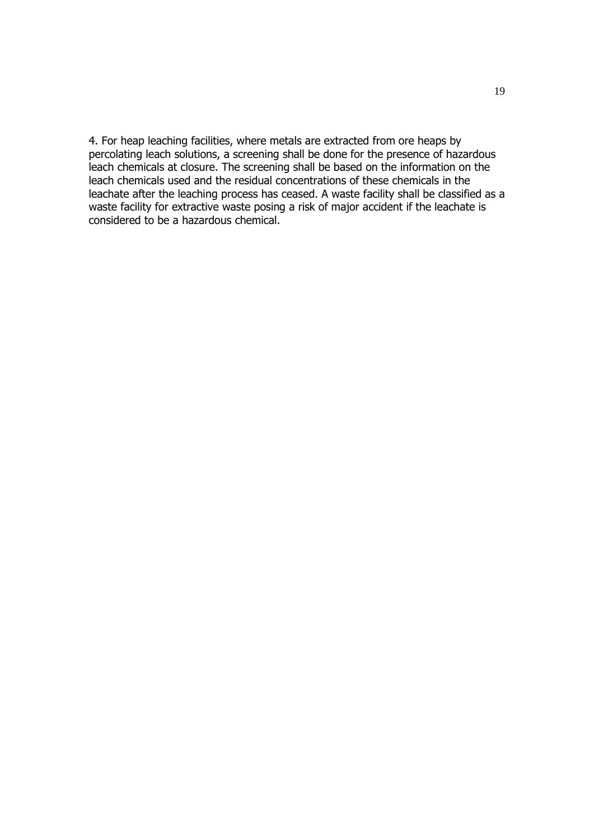4. For heap leaching facilities, where metals are extracted from ore heaps by percolating leach solutions, a screening shall be done for the presence of hazardous leach chemicals at closure. The screening shall be based on the information on the leach chemicals used and the residual concentrations of these chemicals in the leachate after the leaching process has ceased. A waste facility shall be classified as a waste facility for extractive waste posing a risk of major accident if the leachate is considered to be a hazardous chemical.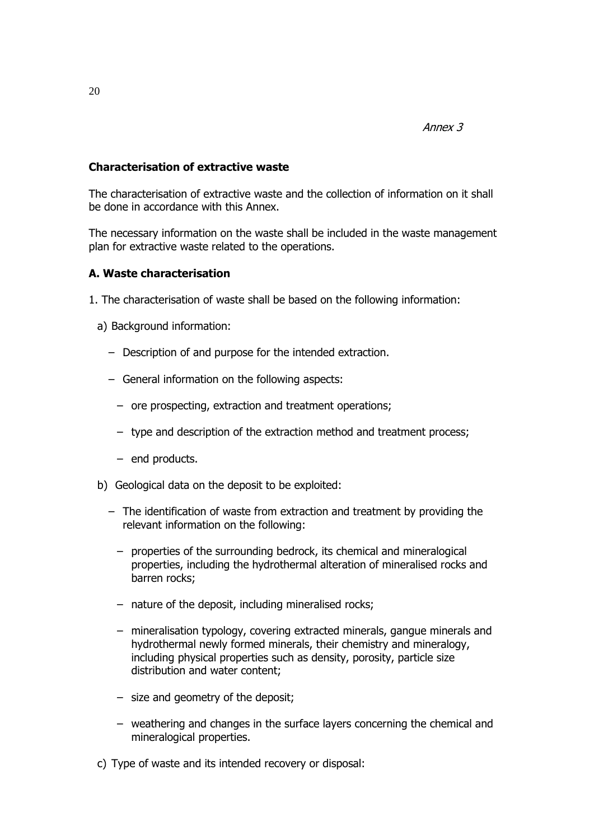# **Characterisation of extractive waste**

The characterisation of extractive waste and the collection of information on it shall be done in accordance with this Annex.

The necessary information on the waste shall be included in the waste management plan for extractive waste related to the operations.

### **A. Waste characterisation**

- 1. The characterisation of waste shall be based on the following information:
	- a) Background information:
		- Description of and purpose for the intended extraction.
		- General information on the following aspects:
			- ore prospecting, extraction and treatment operations;
			- type and description of the extraction method and treatment process;
			- end products.
	- b) Geological data on the deposit to be exploited:
		- The identification of waste from extraction and treatment by providing the relevant information on the following:
			- properties of the surrounding bedrock, its chemical and mineralogical properties, including the hydrothermal alteration of mineralised rocks and barren rocks;
			- nature of the deposit, including mineralised rocks;
			- mineralisation typology, covering extracted minerals, gangue minerals and hydrothermal newly formed minerals, their chemistry and mineralogy, including physical properties such as density, porosity, particle size distribution and water content;
			- size and geometry of the deposit;
			- weathering and changes in the surface layers concerning the chemical and mineralogical properties.
	- c) Type of waste and its intended recovery or disposal: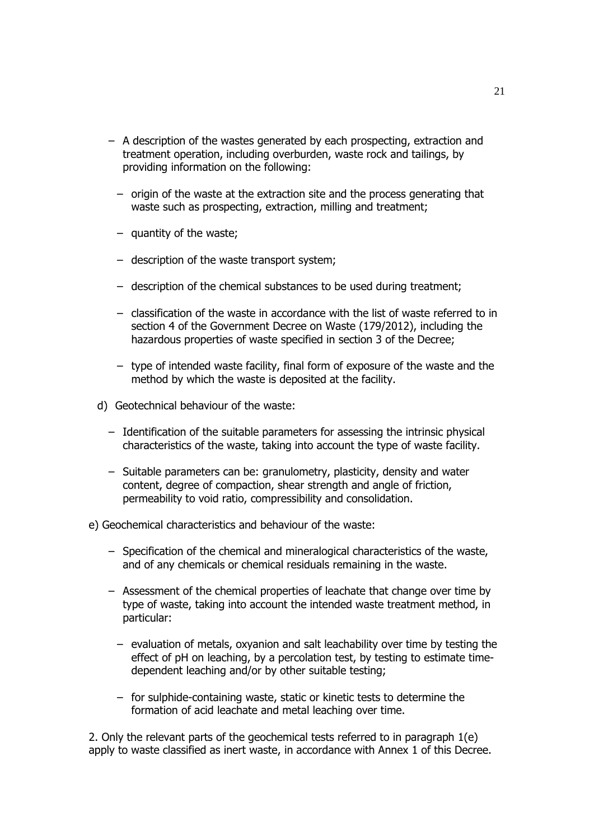- A description of the wastes generated by each prospecting, extraction and treatment operation, including overburden, waste rock and tailings, by providing information on the following:
	- origin of the waste at the extraction site and the process generating that waste such as prospecting, extraction, milling and treatment;
	- quantity of the waste;
	- description of the waste transport system;
	- description of the chemical substances to be used during treatment;
	- classification of the waste in accordance with the list of waste referred to in section 4 of the Government Decree on Waste (179/2012), including the hazardous properties of waste specified in section 3 of the Decree;
	- type of intended waste facility, final form of exposure of the waste and the method by which the waste is deposited at the facility.
- d) Geotechnical behaviour of the waste:
	- Identification of the suitable parameters for assessing the intrinsic physical characteristics of the waste, taking into account the type of waste facility.
	- Suitable parameters can be: granulometry, plasticity, density and water content, degree of compaction, shear strength and angle of friction, permeability to void ratio, compressibility and consolidation.
- e) Geochemical characteristics and behaviour of the waste:
	- Specification of the chemical and mineralogical characteristics of the waste, and of any chemicals or chemical residuals remaining in the waste.
	- Assessment of the chemical properties of leachate that change over time by type of waste, taking into account the intended waste treatment method, in particular:
		- evaluation of metals, oxyanion and salt leachability over time by testing the effect of pH on leaching, by a percolation test, by testing to estimate timedependent leaching and/or by other suitable testing;
		- for sulphide-containing waste, static or kinetic tests to determine the formation of acid leachate and metal leaching over time.

2. Only the relevant parts of the geochemical tests referred to in paragraph 1(e) apply to waste classified as inert waste, in accordance with Annex 1 of this Decree.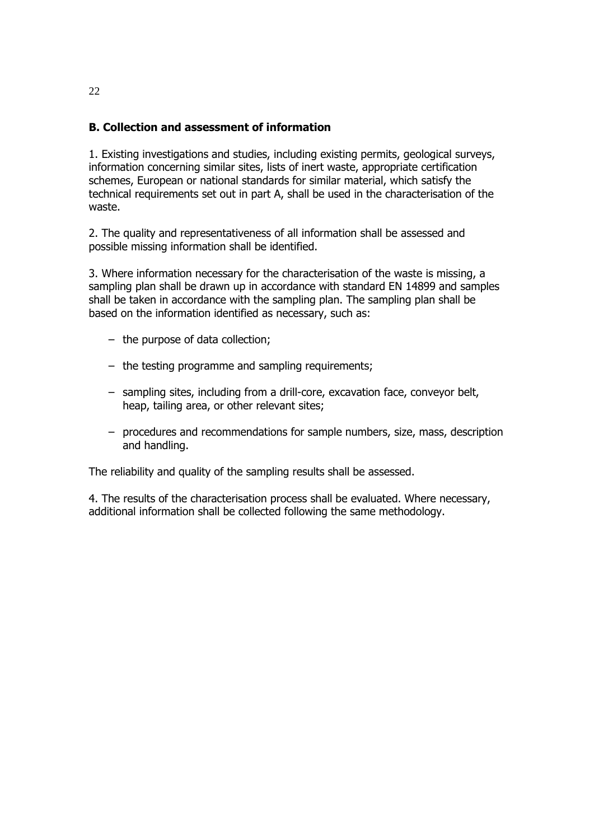# **B. Collection and assessment of information**

1. Existing investigations and studies, including existing permits, geological surveys, information concerning similar sites, lists of inert waste, appropriate certification schemes, European or national standards for similar material, which satisfy the technical requirements set out in part A, shall be used in the characterisation of the waste.

2. The quality and representativeness of all information shall be assessed and possible missing information shall be identified.

3. Where information necessary for the characterisation of the waste is missing, a sampling plan shall be drawn up in accordance with standard EN 14899 and samples shall be taken in accordance with the sampling plan. The sampling plan shall be based on the information identified as necessary, such as:

- the purpose of data collection;
- the testing programme and sampling requirements;
- sampling sites, including from a drill-core, excavation face, conveyor belt, heap, tailing area, or other relevant sites;
- procedures and recommendations for sample numbers, size, mass, description and handling.

The reliability and quality of the sampling results shall be assessed.

4. The results of the characterisation process shall be evaluated. Where necessary, additional information shall be collected following the same methodology.

22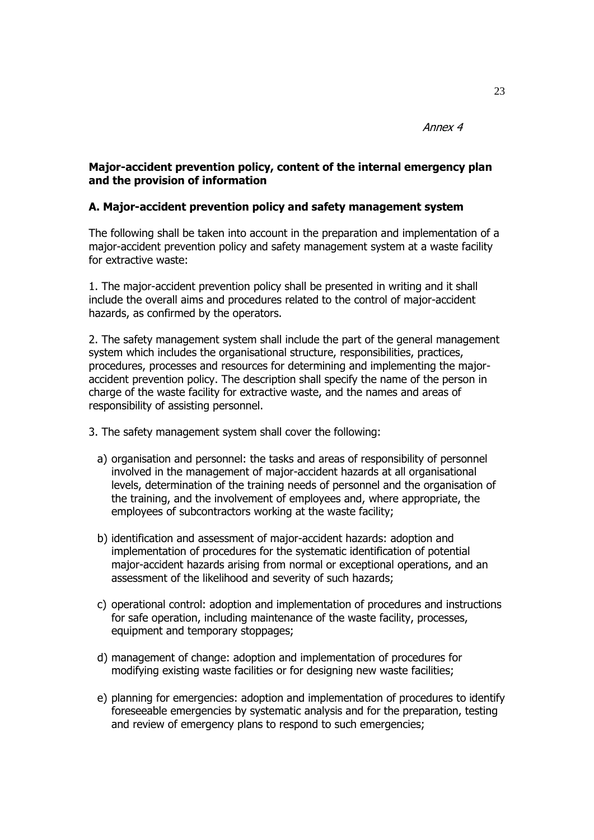Annex 4

## **Major-accident prevention policy, content of the internal emergency plan and the provision of information**

#### **A. Major-accident prevention policy and safety management system**

The following shall be taken into account in the preparation and implementation of a major-accident prevention policy and safety management system at a waste facility for extractive waste:

1. The major-accident prevention policy shall be presented in writing and it shall include the overall aims and procedures related to the control of major-accident hazards, as confirmed by the operators.

2. The safety management system shall include the part of the general management system which includes the organisational structure, responsibilities, practices, procedures, processes and resources for determining and implementing the majoraccident prevention policy. The description shall specify the name of the person in charge of the waste facility for extractive waste, and the names and areas of responsibility of assisting personnel.

- 3. The safety management system shall cover the following:
	- a) organisation and personnel: the tasks and areas of responsibility of personnel involved in the management of major-accident hazards at all organisational levels, determination of the training needs of personnel and the organisation of the training, and the involvement of employees and, where appropriate, the employees of subcontractors working at the waste facility;
	- b) identification and assessment of major-accident hazards: adoption and implementation of procedures for the systematic identification of potential major-accident hazards arising from normal or exceptional operations, and an assessment of the likelihood and severity of such hazards;
	- c) operational control: adoption and implementation of procedures and instructions for safe operation, including maintenance of the waste facility, processes, equipment and temporary stoppages;
	- d) management of change: adoption and implementation of procedures for modifying existing waste facilities or for designing new waste facilities;
	- e) planning for emergencies: adoption and implementation of procedures to identify foreseeable emergencies by systematic analysis and for the preparation, testing and review of emergency plans to respond to such emergencies;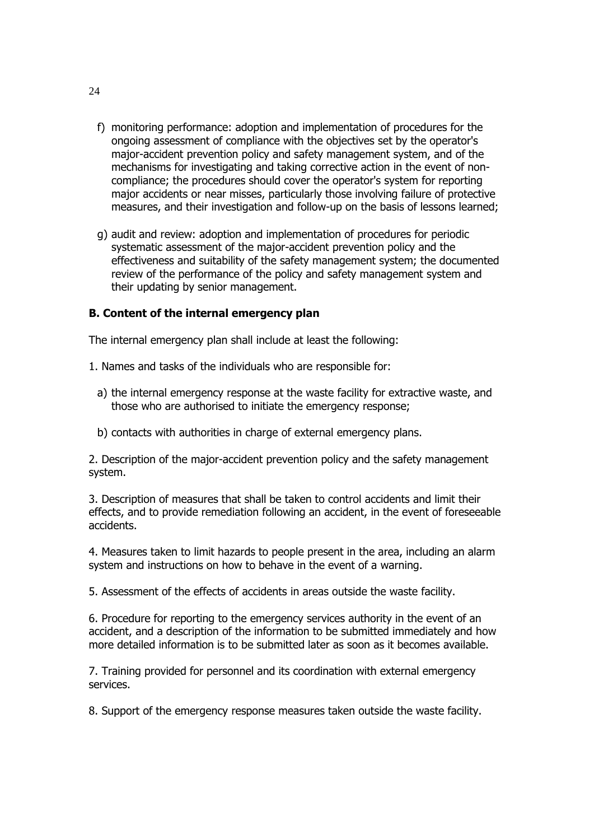- f) monitoring performance: adoption and implementation of procedures for the ongoing assessment of compliance with the objectives set by the operator's major-accident prevention policy and safety management system, and of the mechanisms for investigating and taking corrective action in the event of noncompliance; the procedures should cover the operator's system for reporting major accidents or near misses, particularly those involving failure of protective measures, and their investigation and follow-up on the basis of lessons learned;
- g) audit and review: adoption and implementation of procedures for periodic systematic assessment of the major-accident prevention policy and the effectiveness and suitability of the safety management system; the documented review of the performance of the policy and safety management system and their updating by senior management.

# **B. Content of the internal emergency plan**

The internal emergency plan shall include at least the following:

- 1. Names and tasks of the individuals who are responsible for:
	- a) the internal emergency response at the waste facility for extractive waste, and those who are authorised to initiate the emergency response;
	- b) contacts with authorities in charge of external emergency plans.

2. Description of the major-accident prevention policy and the safety management system.

3. Description of measures that shall be taken to control accidents and limit their effects, and to provide remediation following an accident, in the event of foreseeable accidents.

4. Measures taken to limit hazards to people present in the area, including an alarm system and instructions on how to behave in the event of a warning.

5. Assessment of the effects of accidents in areas outside the waste facility.

6. Procedure for reporting to the emergency services authority in the event of an accident, and a description of the information to be submitted immediately and how more detailed information is to be submitted later as soon as it becomes available.

7. Training provided for personnel and its coordination with external emergency services.

8. Support of the emergency response measures taken outside the waste facility.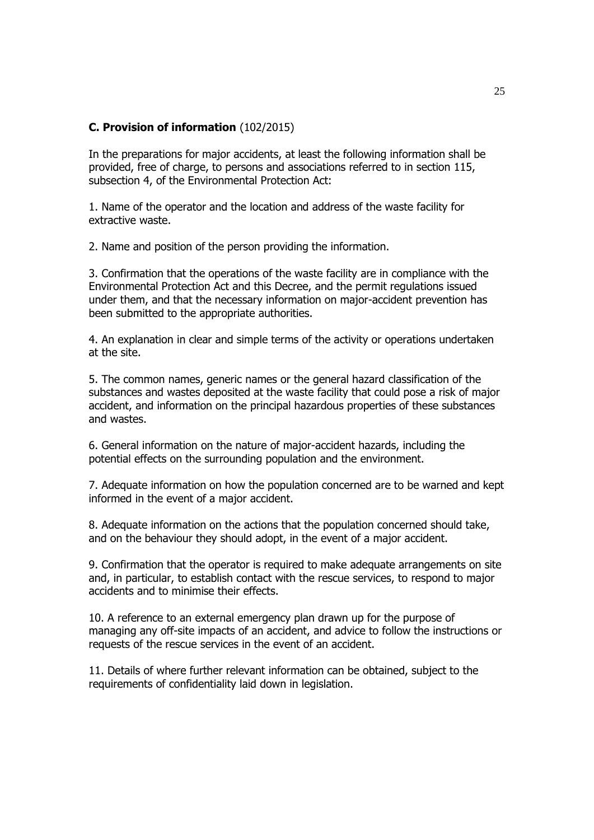### **C. Provision of information** (102/2015)

In the preparations for major accidents, at least the following information shall be provided, free of charge, to persons and associations referred to in section 115, subsection 4, of the Environmental Protection Act:

1. Name of the operator and the location and address of the waste facility for extractive waste.

2. Name and position of the person providing the information.

3. Confirmation that the operations of the waste facility are in compliance with the Environmental Protection Act and this Decree, and the permit regulations issued under them, and that the necessary information on major-accident prevention has been submitted to the appropriate authorities.

4. An explanation in clear and simple terms of the activity or operations undertaken at the site.

5. The common names, generic names or the general hazard classification of the substances and wastes deposited at the waste facility that could pose a risk of major accident, and information on the principal hazardous properties of these substances and wastes.

6. General information on the nature of major-accident hazards, including the potential effects on the surrounding population and the environment.

7. Adequate information on how the population concerned are to be warned and kept informed in the event of a major accident.

8. Adequate information on the actions that the population concerned should take, and on the behaviour they should adopt, in the event of a major accident.

9. Confirmation that the operator is required to make adequate arrangements on site and, in particular, to establish contact with the rescue services, to respond to major accidents and to minimise their effects.

10. A reference to an external emergency plan drawn up for the purpose of managing any off-site impacts of an accident, and advice to follow the instructions or requests of the rescue services in the event of an accident.

11. Details of where further relevant information can be obtained, subject to the requirements of confidentiality laid down in legislation.